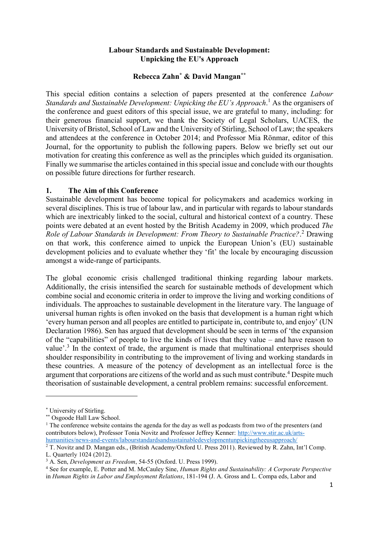## **Labour Standards and Sustainable Development: Unpicking the EU's Approach**

## **Rebecca Zahn\* & David Mangan\*\***

This special edition contains a selection of papers presented at the conference *Labour*  Standards and Sustainable Development: Unpicking the EU's Approach.<sup>1</sup> As the organisers of the conference and guest editors of this special issue, we are grateful to many, including: for their generous financial support, we thank the Society of Legal Scholars, UACES, the University of Bristol, School of Law and the University of Stirling, School of Law; the speakers and attendees at the conference in October 2014; and Professor Mia Rönmar, editor of this Journal, for the opportunity to publish the following papers. Below we briefly set out our motivation for creating this conference as well as the principles which guided its organisation. Finally we summarise the articles contained in this special issue and conclude with our thoughts on possible future directions for further research.

#### **1. The Aim of this Conference**

Sustainable development has become topical for policymakers and academics working in several disciplines. This is true of labour law, and in particular with regards to labour standards which are inextricably linked to the social, cultural and historical context of a country. These points were debated at an event hosted by the British Academy in 2009, which produced *The Role of Labour Standards in Development: From Theory to Sustainable Practice?*. <sup>2</sup> Drawing on that work, this conference aimed to unpick the European Union's (EU) sustainable development policies and to evaluate whether they 'fit' the locale by encouraging discussion amongst a wide-range of participants.

The global economic crisis challenged traditional thinking regarding labour markets. Additionally, the crisis intensified the search for sustainable methods of development which combine social and economic criteria in order to improve the living and working conditions of individuals. The approaches to sustainable development in the literature vary. The language of universal human rights is often invoked on the basis that development is a human right which 'every human person and all peoples are entitled to participate in, contribute to, and enjoy' (UN Declaration 1986). Sen has argued that development should be seen in terms of 'the expansion of the "capabilities" of people to live the kinds of lives that they value – and have reason to value'.<sup>3</sup> In the context of trade, the argument is made that multinational enterprises should shoulder responsibility in contributing to the improvement of living and working standards in these countries. A measure of the potency of development as an intellectual force is the argument that corporations are citizens of the world and as such must contribute.<sup>4</sup> Despite much theorisation of sustainable development, a central problem remains: successful enforcement.

<sup>\*</sup> University of Stirling.

<sup>\*\*</sup> Osgoode Hall Law School.

<sup>&</sup>lt;sup>1</sup> The conference website contains the agenda for the day as well as podcasts from two of the presenters (and contributors below), Professor Tonia Novitz and Professor Jeffrey Kenner: [http://www.stir.ac.uk/arts](http://www.stir.ac.uk/arts-humanities/news-and-events/labourstandardsandsustainabledevelopmentunpickingtheeusapproach/)[humanities/news-and-events/labourstandardsandsustainabledevelopmentunpickingtheeusapproach/](http://www.stir.ac.uk/arts-humanities/news-and-events/labourstandardsandsustainabledevelopmentunpickingtheeusapproach/)

<sup>2</sup> T. Novitz and D. Mangan eds., (British Academy/Oxford U. Press 2011). Reviewed by R. Zahn, Int'l Comp. L. Quarterly 1024 (2012).

<sup>3</sup> A. Sen, *Development as Freedom*, 54-55 (Oxford. U. Press 1999).

<sup>4</sup> See for example, E. Potter and M. McCauley Sine, *Human Rights and Sustainability: A Corporate Perspective* in *Human Rights in Labor and Employment Relations*, 181-194 (J. A. Gross and L. Compa eds, Labor and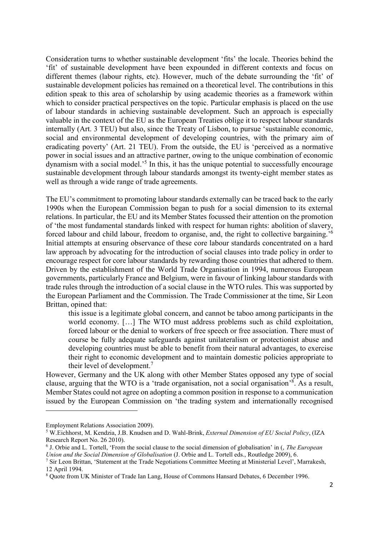Consideration turns to whether sustainable development 'fits' the locale. Theories behind the 'fit' of sustainable development have been expounded in different contexts and focus on different themes (labour rights, etc). However, much of the debate surrounding the 'fit' of sustainable development policies has remained on a theoretical level. The contributions in this edition speak to this area of scholarship by using academic theories as a framework within which to consider practical perspectives on the topic. Particular emphasis is placed on the use of labour standards in achieving sustainable development. Such an approach is especially valuable in the context of the EU as the European Treaties oblige it to respect labour standards internally (Art. 3 TEU) but also, since the Treaty of Lisbon, to pursue 'sustainable economic, social and environmental development of developing countries, with the primary aim of eradicating poverty' (Art. 21 TEU). From the outside, the EU is 'perceived as a normative power in social issues and an attractive partner, owing to the unique combination of economic dynamism with a social model.<sup>5</sup> In this, it has the unique potential to successfully encourage sustainable development through labour standards amongst its twenty-eight member states as well as through a wide range of trade agreements.

The EU's commitment to promoting labour standards externally can be traced back to the early 1990s when the European Commission began to push for a social dimension to its external relations. In particular, the EU and its Member States focussed their attention on the promotion of 'the most fundamental standards linked with respect for human rights: abolition of slavery, forced labour and child labour, freedom to organise, and, the right to collective bargaining.<sup>56</sup> Initial attempts at ensuring observance of these core labour standards concentrated on a hard law approach by advocating for the introduction of social clauses into trade policy in order to encourage respect for core labour standards by rewarding those countries that adhered to them. Driven by the establishment of the World Trade Organisation in 1994, numerous European governments, particularly France and Belgium, were in favour of linking labour standards with trade rules through the introduction of a social clause in the WTO rules. This was supported by the European Parliament and the Commission. The Trade Commissioner at the time, Sir Leon Brittan, opined that:

this issue is a legitimate global concern, and cannot be taboo among participants in the world economy. […] The WTO must address problems such as child exploitation, forced labour or the denial to workers of free speech or free association. There must of course be fully adequate safeguards against unilateralism or protectionist abuse and developing countries must be able to benefit from their natural advantages, to exercise their right to economic development and to maintain domestic policies appropriate to their level of development.<sup>7</sup>

However, Germany and the UK along with other Member States opposed any type of social clause, arguing that the WTO is a 'trade organisation, not a social organisation'<sup>8</sup>. As a result, Member States could not agree on adopting a common position in response to a communication issued by the European Commission on 'the trading system and internationally recognised

Employment Relations Association 2009).

<sup>5</sup> W.Eichhorst, M. Kendzia, J.B. Knudsen and D. Wahl-Brink, *External Dimension of EU Social Policy*, (IZA Research Report No. 26 2010).

<sup>6</sup> J. Orbie and L. Tortell, 'From the social clause to the social dimension of globalisation' in (, *The European Union and the Social Dimension of Globalisation* (J. Orbie and L. Tortell eds., Routledge 2009), 6.

<sup>7</sup> Sir Leon Brittan, 'Statement at the Trade Negotiations Committee Meeting at Ministerial Level', Marrakesh, 12 April 1994.

<sup>8</sup> Quote from UK Minister of Trade Ian Lang, House of Commons Hansard Debates, 6 December 1996.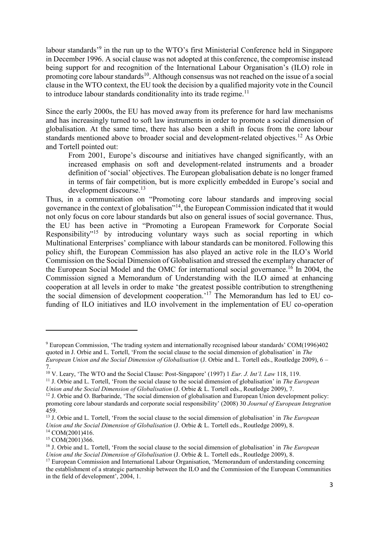labour standards<sup>39</sup> in the run up to the WTO's first Ministerial Conference held in Singapore in December 1996. A social clause was not adopted at this conference, the compromise instead being support for and recognition of the International Labour Organisation's (ILO) role in promoting core labour standards<sup>10</sup>. Although consensus was not reached on the issue of a social clause in the WTO context, the EU took the decision by a qualified majority vote in the Council to introduce labour standards conditionality into its trade regime.<sup>11</sup>

Since the early 2000s, the EU has moved away from its preference for hard law mechanisms and has increasingly turned to soft law instruments in order to promote a social dimension of globalisation. At the same time, there has also been a shift in focus from the core labour standards mentioned above to broader social and development-related objectives.<sup>12</sup> As Orbie and Tortell pointed out:

From 2001, Europe's discourse and initiatives have changed significantly, with an increased emphasis on soft and development-related instruments and a broader definition of 'social' objectives. The European globalisation debate is no longer framed in terms of fair competition, but is more explicitly embedded in Europe's social and development discourse.<sup>13</sup>

Thus, in a communication on "Promoting core labour standards and improving social governance in the context of globalisation"<sup>14</sup>, the European Commission indicated that it would not only focus on core labour standards but also on general issues of social governance. Thus, the EU has been active in "Promoting a European Framework for Corporate Social Responsibility<sup>"15</sup> by introducing voluntary ways such as social reporting in which Multinational Enterprises' compliance with labour standards can be monitored. Following this policy shift, the European Commission has also played an active role in the ILO's World Commission on the Social Dimension of Globalisation and stressed the exemplary character of the European Social Model and the OMC for international social governance.<sup>16</sup> In 2004, the Commission signed a Memorandum of Understanding with the ILO aimed at enhancing cooperation at all levels in order to make 'the greatest possible contribution to strengthening the social dimension of development cooperation.<sup>17</sup> The Memorandum has led to EU cofunding of ILO initiatives and ILO involvement in the implementation of EU co-operation

<sup>9</sup> European Commission, 'The trading system and internationally recognised labour standards' COM(1996)402 quoted in J. Orbie and L. Tortell, 'From the social clause to the social dimension of globalisation' in *The European Union and the Social Dimension of Globalisation* (J. Orbie and L. Tortell eds., Routledge 2009), 6 – 7.

<sup>10</sup> V. Leary, 'The WTO and the Social Clause: Post-Singapore' (1997) 1 *Eur. J. Int'l. Law* 118, 119.

<sup>11</sup> J. Orbie and L. Tortell, 'From the social clause to the social dimension of globalisation' in *The European Union and the Social Dimension of Globalisation* (J. Orbie & L. Tortell eds., Routledge 2009), 7.

<sup>12</sup> J. Orbie and O. Barbarinde, 'The social dimension of globalisation and European Union development policy: promoting core labour standards and corporate social responsibility' (2008) 30 *Journal of European Integration* 459.

<sup>13</sup> J. Orbie and L. Tortell, 'From the social clause to the social dimension of globalisation' in *The European Union and the Social Dimension of Globalisation* (J. Orbie & L. Tortell eds., Routledge 2009), 8. <sup>14</sup> COM(2001)416.

<sup>15</sup> COM(2001)366.

<sup>16</sup> J. Orbie and L. Tortell, 'From the social clause to the social dimension of globalisation' in *The European Union and the Social Dimension of Globalisation* (J. Orbie & L. Tortell eds., Routledge 2009), 8.

<sup>&</sup>lt;sup>17</sup> European Commission and International Labour Organisation, 'Memorandum of understanding concerning the establishment of a strategic partnership between the ILO and the Commission of the European Communities in the field of development', 2004, 1.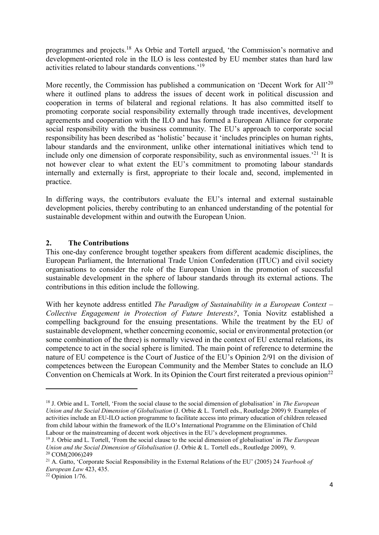programmes and projects.<sup>18</sup> As Orbie and Tortell argued, 'the Commission's normative and development-oriented role in the ILO is less contested by EU member states than hard law activities related to labour standards conventions.' 19

More recently, the Commission has published a communication on 'Decent Work for All'<sup>20</sup> where it outlined plans to address the issues of decent work in political discussion and cooperation in terms of bilateral and regional relations. It has also committed itself to promoting corporate social responsibility externally through trade incentives, development agreements and cooperation with the ILO and has formed a European Alliance for corporate social responsibility with the business community. The EU's approach to corporate social responsibility has been described as 'holistic' because it 'includes principles on human rights, labour standards and the environment, unlike other international initiatives which tend to include only one dimension of corporate responsibility, such as environmental issues.<sup>21</sup> It is not however clear to what extent the EU's commitment to promoting labour standards internally and externally is first, appropriate to their locale and, second, implemented in practice.

In differing ways, the contributors evaluate the EU's internal and external sustainable development policies, thereby contributing to an enhanced understanding of the potential for sustainable development within and outwith the European Union.

# **2. The Contributions**

This one-day conference brought together speakers from different academic disciplines, the European Parliament, the International Trade Union Confederation (ITUC) and civil society organisations to consider the role of the European Union in the promotion of successful sustainable development in the sphere of labour standards through its external actions. The contributions in this edition include the following.

With her keynote address entitled *The Paradigm of Sustainability in a European Context – Collective Engagement in Protection of Future Interests?*, Tonia Novitz established a compelling background for the ensuing presentations. While the treatment by the EU of sustainable development, whether concerning economic, social or environmental protection (or some combination of the three) is normally viewed in the context of EU external relations, its competence to act in the social sphere is limited. The main point of reference to determine the nature of EU competence is the Court of Justice of the EU's Opinion 2/91 on the division of competences between the European Community and the Member States to conclude an ILO Convention on Chemicals at Work. In its Opinion the Court first reiterated a previous opinion<sup>22</sup>

1

<sup>18</sup> J. Orbie and L. Tortell, 'From the social clause to the social dimension of globalisation' in *The European Union and the Social Dimension of Globalisation* (J. Orbie & L. Tortell eds., Routledge 2009) 9. Examples of activities include an EU-ILO action programme to facilitate access into primary education of children released from child labour within the framework of the ILO's International Programme on the Elimination of Child Labour or the mainstreaming of decent work objectives in the EU's development programmes.

<sup>19</sup> J. Orbie and L. Tortell, 'From the social clause to the social dimension of globalisation' in *The European Union and the Social Dimension of Globalisation* (J. Orbie & L. Tortell eds., Routledge 2009), 9. <sup>20</sup> COM(2006)249

<sup>21</sup> A. Gatto, 'Corporate Social Responsibility in the External Relations of the EU' (2005) 24 *Yearbook of European Law* 423, 435.

 $22$  Opinion 1/76.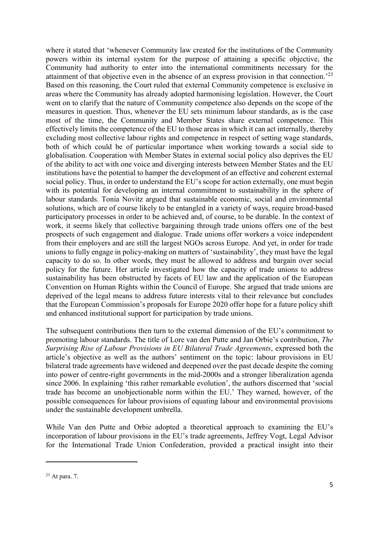where it stated that 'whenever Community law created for the institutions of the Community powers within its internal system for the purpose of attaining a specific objective, the Community had authority to enter into the international commitments necessary for the attainment of that objective even in the absence of an express provision in that connection.<sup>23</sup> Based on this reasoning, the Court ruled that external Community competence is exclusive in areas where the Community has already adopted harmonising legislation. However, the Court went on to clarify that the nature of Community competence also depends on the scope of the measures in question. Thus, whenever the EU sets minimum labour standards, as is the case most of the time, the Community and Member States share external competence. This effectively limits the competence of the EU to those areas in which it can act internally, thereby excluding most collective labour rights and competence in respect of setting wage standards, both of which could be of particular importance when working towards a social side to globalisation. Cooperation with Member States in external social policy also deprives the EU of the ability to act with one voice and diverging interests between Member States and the EU institutions have the potential to hamper the development of an effective and coherent external social policy. Thus, in order to understand the EU's scope for action externally, one must begin with its potential for developing an internal commitment to sustainability in the sphere of labour standards. Tonia Novitz argued that sustainable economic, social and environmental solutions, which are of course likely to be entangled in a variety of ways, require broad-based participatory processes in order to be achieved and, of course, to be durable. In the context of work, it seems likely that collective bargaining through trade unions offers one of the best prospects of such engagement and dialogue. Trade unions offer workers a voice independent from their employers and are still the largest NGOs across Europe. And yet, in order for trade unions to fully engage in policy-making on matters of 'sustainability', they must have the legal capacity to do so. In other words, they must be allowed to address and bargain over social policy for the future. Her article investigated how the capacity of trade unions to address sustainability has been obstructed by facets of EU law and the application of the European Convention on Human Rights within the Council of Europe. She argued that trade unions are deprived of the legal means to address future interests vital to their relevance but concludes that the European Commission's proposals for Europe 2020 offer hope for a future policy shift and enhanced institutional support for participation by trade unions.

The subsequent contributions then turn to the external dimension of the EU's commitment to promoting labour standards. The title of Lore van den Putte and Jan Orbie's contribution, *The Surprising Rise of Labour Provisions in EU Bilateral Trade Agreements*, expressed both the article's objective as well as the authors' sentiment on the topic: labour provisions in EU bilateral trade agreements have widened and deepened over the past decade despite the coming into power of centre-right governments in the mid-2000s and a stronger liberalization agenda since 2006. In explaining 'this rather remarkable evolution', the authors discerned that 'social trade has become an unobjectionable norm within the EU.' They warned, however, of the possible consequences for labour provisions of equating labour and environmental provisions under the sustainable development umbrella.

While Van den Putte and Orbie adopted a theoretical approach to examining the EU's incorporation of labour provisions in the EU's trade agreements, Jeffrey Vogt, Legal Advisor for the International Trade Union Confederation, provided a practical insight into their

<sup>23</sup> At para. 7.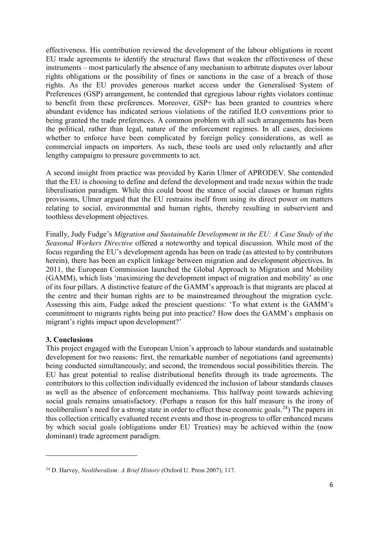effectiveness. His contribution reviewed the development of the labour obligations in recent EU trade agreements to identify the structural flaws that weaken the effectiveness of these instruments – most particularly the absence of any mechanism to arbitrate disputes over labour rights obligations or the possibility of fines or sanctions in the case of a breach of those rights. As the EU provides generous market access under the Generalised System of Preferences (GSP) arrangement, he contended that egregious labour rights violators continue to benefit from these preferences. Moreover, GSP+ has been granted to countries where abundant evidence has indicated serious violations of the ratified ILO conventions prior to being granted the trade preferences. A common problem with all such arrangements has been the political, rather than legal, nature of the enforcement regimes. In all cases, decisions whether to enforce have been complicated by foreign policy considerations, as well as commercial impacts on importers. As such, these tools are used only reluctantly and after lengthy campaigns to pressure governments to act.

A second insight from practice was provided by Karin Ulmer of APRODEV. She contended that the EU is choosing to define and defend the development and trade nexus within the trade liberalisation paradigm. While this could boost the stance of social clauses or human rights provisions, Ulmer argued that the EU restrains itself from using its direct power on matters relating to social, environmental and human rights, thereby resulting in subservient and toothless development objectives.

Finally, Judy Fudge's *Migration and Sustainable Development in the EU: A Case Study of the Seasonal Workers Directive* offered a noteworthy and topical discussion. While most of the focus regarding the EU's development agenda has been on trade (as attested to by contributors herein), there has been an explicit linkage between migration and development objectives. In 2011, the European Commission launched the Global Approach to Migration and Mobility (GAMM), which lists 'maximizing the development impact of migration and mobility' as one of its four pillars. A distinctive feature of the GAMM's approach is that migrants are placed at the centre and their human rights are to be mainstreamed throughout the migration cycle. Assessing this aim, Fudge asked the prescient questions: 'To what extent is the GAMM's commitment to migrants rights being put into practice? How does the GAMM's emphasis on migrant's rights impact upon development?'

#### **3. Conclusions**

1

This project engaged with the European Union's approach to labour standards and sustainable development for two reasons: first, the remarkable number of negotiations (and agreements) being conducted simultaneously; and second, the tremendous social possibilities therein. The EU has great potential to realise distributional benefits through its trade agreements. The contributors to this collection individually evidenced the inclusion of labour standards clauses as well as the absence of enforcement mechanisms. This halfway point towards achieving social goals remains unsatisfactory. (Perhaps a reason for this half measure is the irony of neoliberalism's need for a strong state in order to effect these economic goals.<sup>24</sup>) The papers in this collection critically evaluated recent events and those in-progress to offer enhanced means by which social goals (obligations under EU Treaties) may be achieved within the (now dominant) trade agreement paradigm.

<sup>24</sup> D. Harvey, *Neoliberalism: A Brief History* (Oxford U. Press 2007), 117.